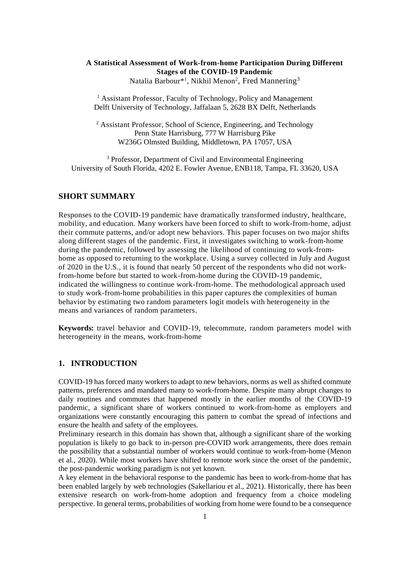# **A Statistical Assessment of Work-from-home Participation During Different Stages of the COVID-19 Pandemic**

Natalia Barbour\*<sup>1</sup>, Nikhil Menon<sup>2</sup>, Fred Mannering<sup>3</sup>

<sup>1</sup> Assistant Professor, Faculty of Technology, Policy and Management Delft University of Technology, Jaffalaan 5, 2628 BX Delft, Netherlands

<sup>2</sup> Assistant Professor, School of Science, Engineering, and Technology Penn State Harrisburg, 777 W Harrisburg Pike W236G Olmsted Building, Middletown, PA 17057, USA

<sup>3</sup> Professor, Department of Civil and Environmental Engineering University of South Florida, 4202 E. Fowler Avenue, ENB118, Tampa, FL 33620, USA

## **SHORT SUMMARY**

Responses to the COVID-19 pandemic have dramatically transformed industry, healthcare, mobility, and education. Many workers have been forced to shift to work-from-home, adjust their commute patterns, and/or adopt new behaviors. This paper focuses on two major shifts along different stages of the pandemic. First, it investigates switching to work-from-home during the pandemic, followed by assessing the likelihood of continuing to work-fromhome as opposed to returning to the workplace. Using a survey collected in July and August of 2020 in the U.S., it is found that nearly 50 percent of the respondents who did not workfrom-home before but started to work-from-home during the COVID-19 pandemic, indicated the willingness to continue work-from-home. The methodological approach used to study work-from-home probabilities in this paper captures the complexities of human behavior by estimating two random parameters logit models with heterogeneity in the means and variances of random parameters.

**Keywords:** travel behavior and COVID-19, telecommute, random parameters model with heterogeneity in the means, work-from-home

## **1. INTRODUCTION**

COVID-19 has forced many workers to adapt to new behaviors, norms as well as shifted commute patterns, preferences and mandated many to work-from-home. Despite many abrupt changes to daily routines and commutes that happened mostly in the earlier months of the COVID-19 pandemic, a significant share of workers continued to work-from-home as employers and organizations were constantly encouraging this pattern to combat the spread of infections and ensure the health and safety of the employees.

Preliminary research in this domain has shown that, although a significant share of the working population is likely to go back to in-person pre-COVID work arrangements, there does remain the possibility that a substantial number of workers would continue to work-from-home (Menon et al., 2020). While most workers have shifted to remote work since the onset of the pandemic, the post-pandemic working paradigm is not yet known.

A key element in the behavioral response to the pandemic has been to work-from-home that has been enabled largely by web technologies (Sakellariou et al., 2021). Historically, there has been extensive research on work-from-home adoption and frequency from a choice modeling perspective. In general terms, probabilities of working from home were found to be a consequence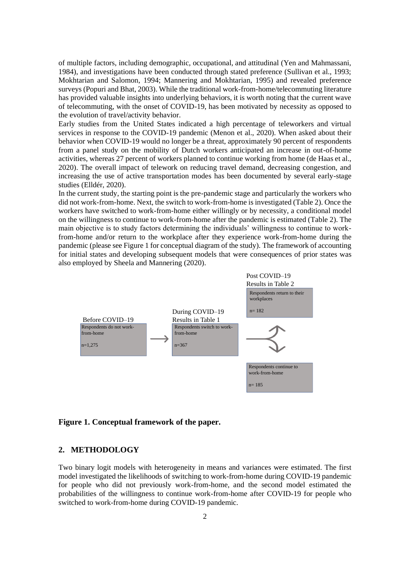of multiple factors, including demographic, occupational, and attitudinal (Yen and Mahmassani, 1984), and investigations have been conducted through stated preference (Sullivan et al., 1993; Mokhtarian and Salomon, 1994; Mannering and Mokhtarian, 1995) and revealed preference surveys (Popuri and Bhat, 2003). While the traditional work-from-home/telecommuting literature has provided valuable insights into underlying behaviors, it is worth noting that the current wave of telecommuting, with the onset of COVID-19, has been motivated by necessity as opposed to the evolution of travel/activity behavior.

Early studies from the United States indicated a high percentage of teleworkers and virtual services in response to the COVID-19 pandemic (Menon et al., 2020). When asked about their behavior when COVID-19 would no longer be a threat, approximately 90 percent of respondents from a panel study on the mobility of Dutch workers anticipated an increase in out-of-home activities, whereas 27 percent of workers planned to continue working from home (de Haas et al., 2020). The overall impact of telework on reducing travel demand, decreasing congestion, and increasing the use of active transportation modes has been documented by several early-stage studies (Elldér, 2020).

In the current study, the starting point is the pre-pandemic stage and particularly the workers who did not work-from-home. Next, the switch to work-from-home is investigated (Table 2). Once the workers have switched to work-from-home either willingly or by necessity, a conditional model on the willingness to continue to work-from-home after the pandemic is estimated (Table 2). The main objective is to study factors determining the individuals' willingness to continue to workfrom-home and/or return to the workplace after they experience work-from-home during the pandemic (please see Figure 1 for conceptual diagram of the study). The framework of accounting for initial states and developing subsequent models that were consequences of prior states was also employed by Sheela and Mannering (2020).



### **Figure 1. Conceptual framework of the paper.**

## **2. METHODOLOGY**

Two binary logit models with heterogeneity in means and variances were estimated. The first model investigated the likelihoods of switching to work-from-home during COVID-19 pandemic for people who did not previously work-from-home, and the second model estimated the probabilities of the willingness to continue work-from-home after COVID-19 for people who switched to work-from-home during COVID-19 pandemic.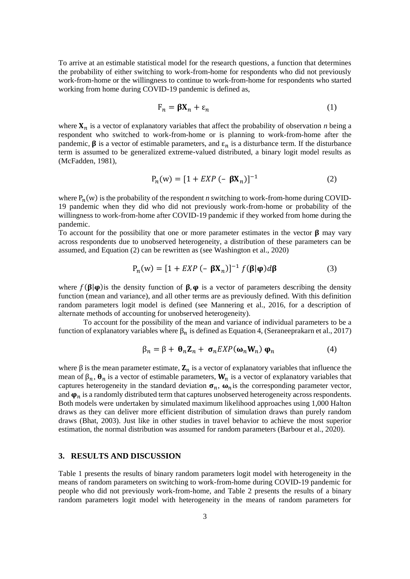To arrive at an estimable statistical model for the research questions, a function that determines the probability of either switching to work-from-home for respondents who did not previously work-from-home or the willingness to continue to work-from-home for respondents who started working from home during COVID-19 pandemic is defined as,

$$
\mathbf{F}_n = \mathbf{\beta} \mathbf{X}_n + \varepsilon_n \tag{1}
$$

where  $X_n$  is a vector of explanatory variables that affect the probability of observation *n* being a respondent who switched to work-from-home or is planning to work-from-home after the pandemic,  $\beta$  is a vector of estimable parameters, and  $\varepsilon_n$  is a disturbance term. If the disturbance term is assumed to be generalized extreme-valued distributed, a binary logit model results as (McFadden, 1981),

$$
P_n(w) = [1 + EXP(- \beta X_n)]^{-1}
$$
 (2)

where  $P_n(w)$  is the probability of the respondent *n* switching to work-from-home during COVID-19 pandemic when they did who did not previously work-from-home or probability of the willingness to work-from-home after COVID-19 pandemic if they worked from home during the pandemic.

To account for the possibility that one or more parameter estimates in the vector  $\beta$  may vary across respondents due to unobserved heterogeneity, a distribution of these parameters can be assumed, and Equation (2) can be rewritten as (see Washington et al., 2020)

$$
P_n(w) = [1 + EXP(- \beta X_n)]^{-1} f(\beta | \varphi) d\beta
$$
 (3)

where  $f(\beta|\varphi)$  is the density function of  $\beta$ ,  $\varphi$  is a vector of parameters describing the density function (mean and variance), and all other terms are as previously defined. With this definition random parameters logit model is defined (see Mannering et al., 2016, for a description of alternate methods of accounting for unobserved heterogeneity).

To account for the possibility of the mean and variance of individual parameters to be a function of explanatory variables where  $β<sub>n</sub>$  is defined as Equation 4, (Seraneeprakarn et al., 2017)

$$
\beta_n = \beta + \theta_n \mathbf{Z}_n + \sigma_n EXP(\omega_n \mathbf{W}_n) \varphi_n \tag{4}
$$

where  $\beta$  is the mean parameter estimate,  $\mathbf{Z}_n$  is a vector of explanatory variables that influence the mean of  $\beta_n$ ,  $\theta_n$  is a vector of estimable parameters,  $W_n$  is a vector of explanatory variables that captures heterogeneity in the standard deviation  $\sigma_n$ ,  $\omega_n$  is the corresponding parameter vector, and  $\varphi_n$  is a randomly distributed term that captures unobserved heterogeneity across respondents. Both models were undertaken by simulated maximum likelihood approaches using 1,000 Halton draws as they can deliver more efficient distribution of simulation draws than purely random draws (Bhat, 2003). Just like in other studies in travel behavior to achieve the most superior estimation, the normal distribution was assumed for random parameters (Barbour et al., 2020).

## **3. RESULTS AND DISCUSSION**

Table 1 presents the results of binary random parameters logit model with heterogeneity in the means of random parameters on switching to work-from-home during COVID-19 pandemic for people who did not previously work-from-home, and Table 2 presents the results of a binary random parameters logit model with heterogeneity in the means of random parameters for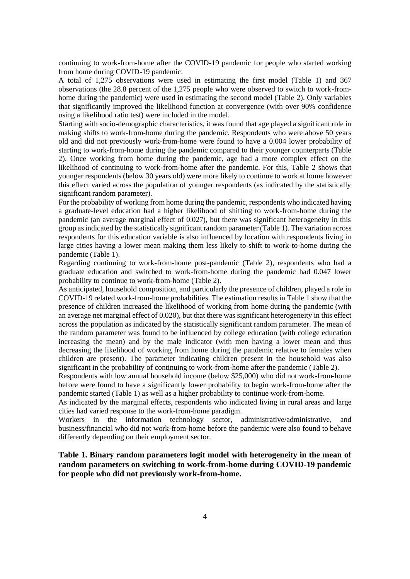continuing to work-from-home after the COVID-19 pandemic for people who started working from home during COVID-19 pandemic.

A total of 1,275 observations were used in estimating the first model (Table 1) and 367 observations (the 28.8 percent of the 1,275 people who were observed to switch to work-fromhome during the pandemic) were used in estimating the second model (Table 2). Only variables that significantly improved the likelihood function at convergence (with over 90% confidence using a likelihood ratio test) were included in the model.

Starting with socio-demographic characteristics, it was found that age played a significant role in making shifts to work-from-home during the pandemic. Respondents who were above 50 years old and did not previously work-from-home were found to have a 0.004 lower probability of starting to work-from-home during the pandemic compared to their younger counterparts (Table 2). Once working from home during the pandemic, age had a more complex effect on the likelihood of continuing to work-from-home after the pandemic. For this, Table 2 shows that younger respondents (below 30 years old) were more likely to continue to work at home however this effect varied across the population of younger respondents (as indicated by the statistically significant random parameter).

For the probability of working from home during the pandemic, respondents who indicated having a graduate-level education had a higher likelihood of shifting to work-from-home during the pandemic (an average marginal effect of 0.027), but there was significant heterogeneity in this group as indicated by the statistically significant random parameter (Table 1). The variation across respondents for this education variable is also influenced by location with respondents living in large cities having a lower mean making them less likely to shift to work-to-home during the pandemic (Table 1).

Regarding continuing to work-from-home post-pandemic (Table 2), respondents who had a graduate education and switched to work-from-home during the pandemic had 0.047 lower probability to continue to work-from-home (Table 2).

As anticipated, household composition, and particularly the presence of children, played a role in COVID-19 related work-from-home probabilities. The estimation results in Table 1 show that the presence of children increased the likelihood of working from home during the pandemic (with an average net marginal effect of 0.020), but that there was significant heterogeneity in this effect across the population as indicated by the statistically significant random parameter. The mean of the random parameter was found to be influenced by college education (with college education increasing the mean) and by the male indicator (with men having a lower mean and thus decreasing the likelihood of working from home during the pandemic relative to females when children are present). The parameter indicating children present in the household was also significant in the probability of continuing to work-from-home after the pandemic (Table 2).

Respondents with low annual household income (below \$25,000) who did not work-from-home before were found to have a significantly lower probability to begin work-from-home after the pandemic started (Table 1) as well as a higher probability to continue work-from-home.

As indicated by the marginal effects, respondents who indicated living in rural areas and large cities had varied response to the work-from-home paradigm.

Workers in the information technology sector, administrative/administrative, and business/financial who did not work-from-home before the pandemic were also found to behave differently depending on their employment sector.

# **Table 1. Binary random parameters logit model with heterogeneity in the mean of random parameters on switching to work-from-home during COVID-19 pandemic for people who did not previously work-from-home.**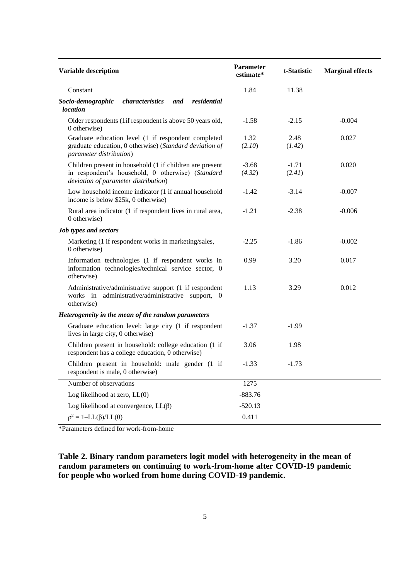| Variable description                                                                                                                                  | Parameter<br>estimate* | t-Statistic       | <b>Marginal effects</b> |
|-------------------------------------------------------------------------------------------------------------------------------------------------------|------------------------|-------------------|-------------------------|
| Constant                                                                                                                                              | 1.84                   | 11.38             |                         |
| characteristics<br>residential<br>Socio-demographic<br>and<br><i>location</i>                                                                         |                        |                   |                         |
| Older respondents (1if respondent is above 50 years old,<br>0 otherwise)                                                                              | $-1.58$                | $-2.15$           | $-0.004$                |
| Graduate education level (1 if respondent completed<br>graduate education, 0 otherwise) (Standard deviation of<br>parameter distribution)             | 1.32<br>(2.10)         | 2.48<br>(1.42)    | 0.027                   |
| Children present in household (1 if children are present<br>in respondent's household, 0 otherwise) (Standard<br>deviation of parameter distribution) | $-3.68$<br>(4.32)      | $-1.71$<br>(2.41) | 0.020                   |
| Low household income indicator (1 if annual household<br>income is below \$25k, 0 otherwise)                                                          | $-1.42$                | $-3.14$           | $-0.007$                |
| Rural area indicator (1 if respondent lives in rural area,<br>0 otherwise)                                                                            | $-1.21$                | $-2.38$           | $-0.006$                |
| <b>Job types and sectors</b>                                                                                                                          |                        |                   |                         |
| Marketing (1 if respondent works in marketing/sales,<br>0 otherwise)                                                                                  | $-2.25$                | $-1.86$           | $-0.002$                |
| Information technologies (1 if respondent works in<br>information technologies/technical service sector, 0<br>otherwise)                              | 0.99                   | 3.20              | 0.017                   |
| Administrative/administrative support (1 if respondent<br>administrative/administrative support, 0<br>works in<br>otherwise)                          | 1.13                   | 3.29              | 0.012                   |
| Heterogeneity in the mean of the random parameters                                                                                                    |                        |                   |                         |
| Graduate education level: large city (1 if respondent<br>lives in large city, 0 otherwise)                                                            | $-1.37$                | $-1.99$           |                         |
| Children present in household: college education (1 if<br>respondent has a college education, 0 otherwise)                                            | 3.06                   | 1.98              |                         |
| Children present in household: male gender (1 if<br>respondent is male, 0 otherwise)                                                                  | $-1.33$                | $-1.73$           |                         |
| Number of observations                                                                                                                                | 1275                   |                   |                         |
| Log likelihood at zero, LL(0)                                                                                                                         | $-883.76$              |                   |                         |
| Log likelihood at convergence, $LL(\beta)$                                                                                                            | $-520.13$              |                   |                         |
| $\rho^2 = 1 - LL(\beta)/LL(0)$                                                                                                                        | 0.411                  |                   |                         |

\*Parameters defined for work-from-home

**Table 2. Binary random parameters logit model with heterogeneity in the mean of random parameters on continuing to work-from-home after COVID-19 pandemic for people who worked from home during COVID-19 pandemic.**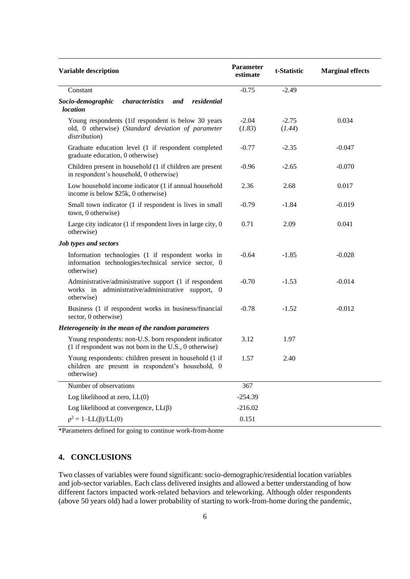| Variable description                                                                                                       | Parameter<br>estimate | t-Statistic       | <b>Marginal effects</b> |
|----------------------------------------------------------------------------------------------------------------------------|-----------------------|-------------------|-------------------------|
| Constant                                                                                                                   | $-0.75$               | $-2.49$           |                         |
| characteristics<br>Socio-demographic<br>and<br>residential<br><i>location</i>                                              |                       |                   |                         |
| Young respondents (1if respondent is below 30 years<br>old, 0 otherwise) (Standard deviation of parameter<br>distribution) | $-2.04$<br>(1.83)     | $-2.75$<br>(1.44) | 0.034                   |
| Graduate education level (1 if respondent completed<br>graduate education, 0 otherwise)                                    | $-0.77$               | $-2.35$           | $-0.047$                |
| Children present in household (1 if children are present<br>in respondent's household, 0 otherwise)                        | $-0.96$               | $-2.65$           | $-0.070$                |
| Low household income indicator (1 if annual household<br>income is below \$25k, 0 otherwise)                               | 2.36                  | 2.68              | 0.017                   |
| Small town indicator (1 if respondent is lives in small<br>town, 0 otherwise)                                              | $-0.79$               | $-1.84$           | $-0.019$                |
| Large city indicator $(1 \text{ if }$ respondent lives in large city, $0$<br>otherwise)                                    | 0.71                  | 2.09              | 0.041                   |
| <b>Job types and sectors</b>                                                                                               |                       |                   |                         |
| Information technologies (1 if respondent works in<br>information technologies/technical service sector, 0<br>otherwise)   | $-0.64$               | $-1.85$           | $-0.028$                |
| Administrative/administrative support (1 if respondent<br>works in administrative/administrative support, 0<br>otherwise)  | $-0.70$               | $-1.53$           | $-0.014$                |
| Business (1 if respondent works in business/financial<br>sector, 0 otherwise)                                              | $-0.78$               | $-1.52$           | $-0.012$                |
| Heterogeneity in the mean of the random parameters                                                                         |                       |                   |                         |
| Young respondents: non-U.S. born respondent indicator<br>(1 if respondent was not born in the U.S., 0 otherwise)           | 3.12                  | 1.97              |                         |
| Young respondents: children present in household (1 if<br>children are present in respondent's household, 0<br>otherwise)  | 1.57                  | 2.40              |                         |
| Number of observations                                                                                                     | 367                   |                   |                         |
| Log likelihood at zero, LL(0)                                                                                              | $-254.39$             |                   |                         |
| Log likelihood at convergence, $LL(\beta)$                                                                                 | $-216.02$             |                   |                         |
| $\rho^2 = 1 - LL(\beta)/LL(0)$                                                                                             | 0.151                 |                   |                         |

\*Parameters defined for going to continue work-from-home

# **4. CONCLUSIONS**

Two classes of variables were found significant: socio-demographic/residential location variables and job-sector variables. Each class delivered insights and allowed a better understanding of how different factors impacted work-related behaviors and teleworking. Although older respondents (above 50 years old) had a lower probability of starting to work-from-home during the pandemic,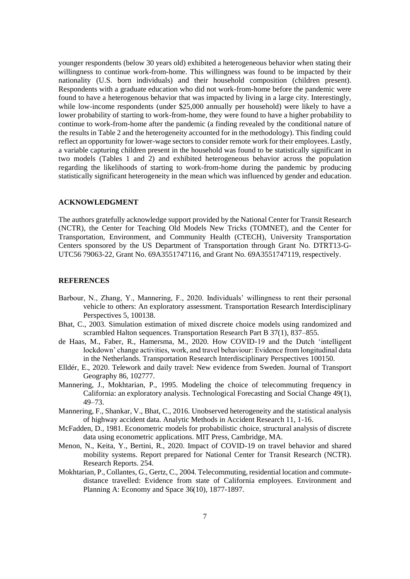younger respondents (below 30 years old) exhibited a heterogeneous behavior when stating their willingness to continue work-from-home. This willingness was found to be impacted by their nationality (U.S. born individuals) and their household composition (children present). Respondents with a graduate education who did not work-from-home before the pandemic were found to have a heterogenous behavior that was impacted by living in a large city. Interestingly, while low-income respondents (under \$25,000 annually per household) were likely to have a lower probability of starting to work-from-home, they were found to have a higher probability to continue to work-from-home after the pandemic (a finding revealed by the conditional nature of the results in Table 2 and the heterogeneity accounted for in the methodology). This finding could reflect an opportunity for lower-wage sectors to consider remote work for their employees. Lastly, a variable capturing children present in the household was found to be statistically significant in two models (Tables 1 and 2) and exhibited heterogeneous behavior across the population regarding the likelihoods of starting to work-from-home during the pandemic by producing statistically significant heterogeneity in the mean which was influenced by gender and education.

### **ACKNOWLEDGMENT**

The authors gratefully acknowledge support provided by the National Center for Transit Research (NCTR), the Center for Teaching Old Models New Tricks (TOMNET), and the Center for Transportation, Environment, and Community Health (CTECH), University Transportation Centers sponsored by the US Department of Transportation through Grant No. DTRT13-G-UTC56 79063-22, Grant No. 69A3551747116, and Grant No. 69A3551747119, respectively.

### **REFERENCES**

- Barbour, N., Zhang, Y., Mannering, F., 2020. Individuals' willingness to rent their personal vehicle to others: An exploratory assessment. Transportation Research Interdisciplinary Perspectives 5, 100138.
- Bhat, C., 2003. Simulation estimation of mixed discrete choice models using randomized and scrambled Halton sequences. Transportation Research Part B 37(1), 837–855.
- de Haas, M., Faber, R., Hamersma, M., 2020. How COVID-19 and the Dutch 'intelligent lockdown' change activities, work, and travel behaviour: Evidence from longitudinal data in the Netherlands. Transportation Research Interdisciplinary Perspectives 100150.
- Elldér, E., 2020. Telework and daily travel: New evidence from Sweden. Journal of Transport Geography 86, 102777.
- Mannering, J., Mokhtarian, P., 1995. Modeling the choice of telecommuting frequency in California: an exploratory analysis. Technological Forecasting and Social Change 49(1), 49–73.
- Mannering, F., Shankar, V., Bhat, C., 2016. Unobserved heterogeneity and the statistical analysis of highway accident data. Analytic Methods in Accident Research 11, 1-16.
- McFadden, D., 1981. Econometric models for probabilistic choice, structural analysis of discrete data using econometric applications. MIT Press, Cambridge, MA.
- Menon, N., Keita, Y., Bertini, R., 2020. Impact of COVID-19 on travel behavior and shared mobility systems. Report prepared for National Center for Transit Research (NCTR). Research Reports. 254.
- Mokhtarian, P., Collantes, G., Gertz, C., 2004. Telecommuting, residential location and commutedistance travelled: Evidence from state of California employees. Environment and Planning A: Economy and Space 36(10), 1877-1897.